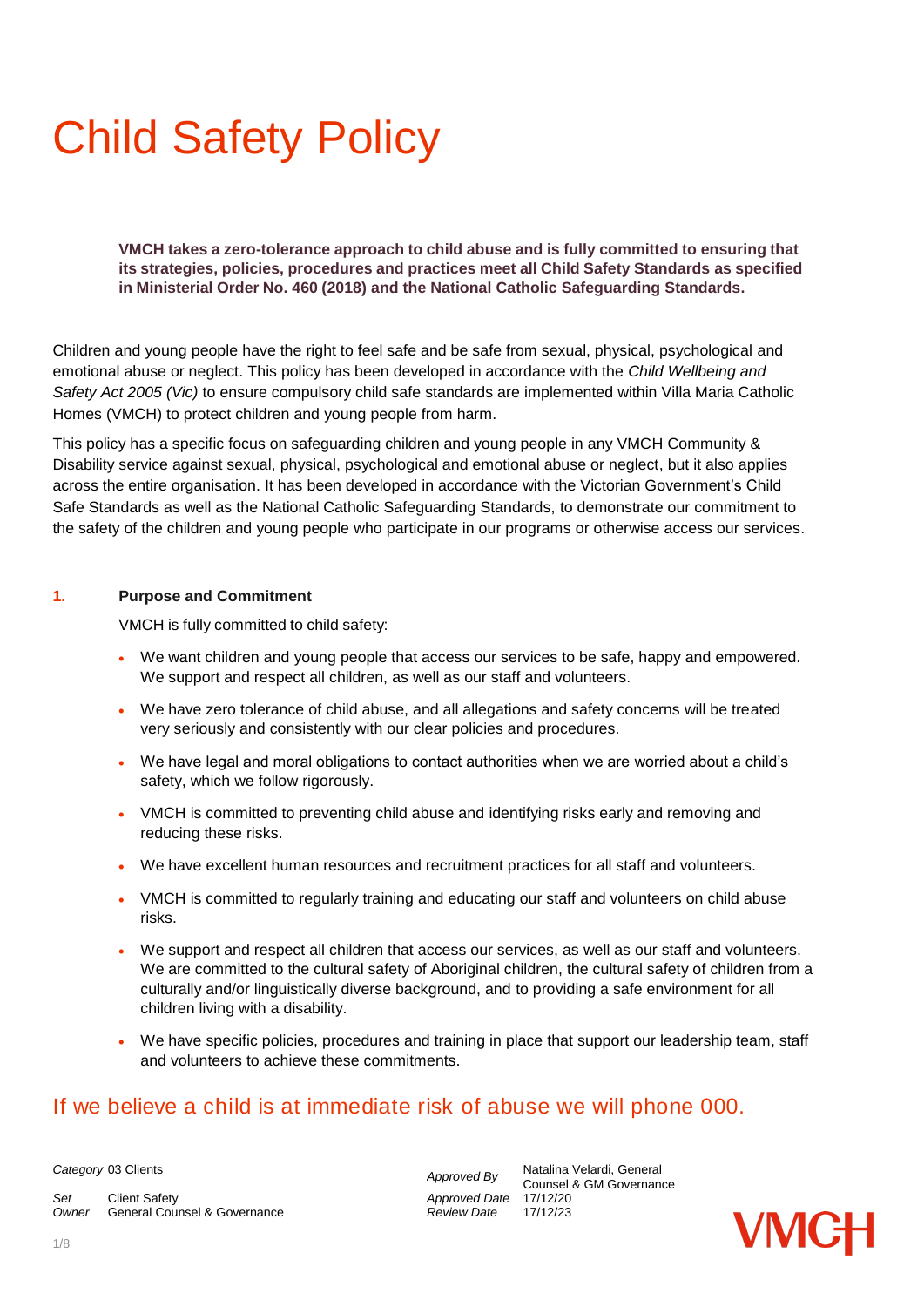# Child Safety Policy

**VMCH takes a zero-tolerance approach to child abuse and is fully committed to ensuring that its strategies, policies, procedures and practices meet all Child Safety Standards as specified in Ministerial Order No. 460 (2018) and the National Catholic Safeguarding Standards.**

Children and young people have the right to feel safe and be safe from sexual, physical, psychological and emotional abuse or neglect. This policy has been developed in accordance with the *Child Wellbeing and Safety Act 2005 (Vic)* to ensure compulsory child safe standards are implemented within Villa Maria Catholic Homes (VMCH) to protect children and young people from harm.

This policy has a specific focus on safeguarding children and young people in any VMCH Community & Disability service against sexual, physical, psychological and emotional abuse or neglect, but it also applies across the entire organisation. It has been developed in accordance with the Victorian Government's Child Safe Standards as well as the National Catholic Safeguarding Standards, to demonstrate our commitment to the safety of the children and young people who participate in our programs or otherwise access our services.

#### **1. Purpose and Commitment**

VMCH is fully committed to child safety:

- We want children and young people that access our services to be safe, happy and empowered. We support and respect all children, as well as our staff and volunteers.
- We have zero tolerance of child abuse, and all allegations and safety concerns will be treated very seriously and consistently with our clear policies and procedures.
- We have legal and moral obligations to contact authorities when we are worried about a child's safety, which we follow rigorously.
- VMCH is committed to preventing child abuse and identifying risks early and removing and reducing these risks.
- We have excellent human resources and recruitment practices for all staff and volunteers.
- VMCH is committed to regularly training and educating our staff and volunteers on child abuse risks.
- We support and respect all children that access our services, as well as our staff and volunteers. We are committed to the cultural safety of Aboriginal children, the cultural safety of children from a culturally and/or linguistically diverse background, and to providing a safe environment for all children living with a disability.
- We have specific policies, procedures and training in place that support our leadership team, staff and volunteers to achieve these commitments.

## If we believe a child is at immediate risk of abuse we will phone 000.

*Set* Client Safety *Approved Date* 17/12/20 *Owner* **General Counsel & Governance** 

**Category** 03 Clients *Category* 03 Clients *Approved By* **Adding** *Category* 03 Clients *Category Category Category Category Category Category Category Category Category Category* Counsel & GM Governance

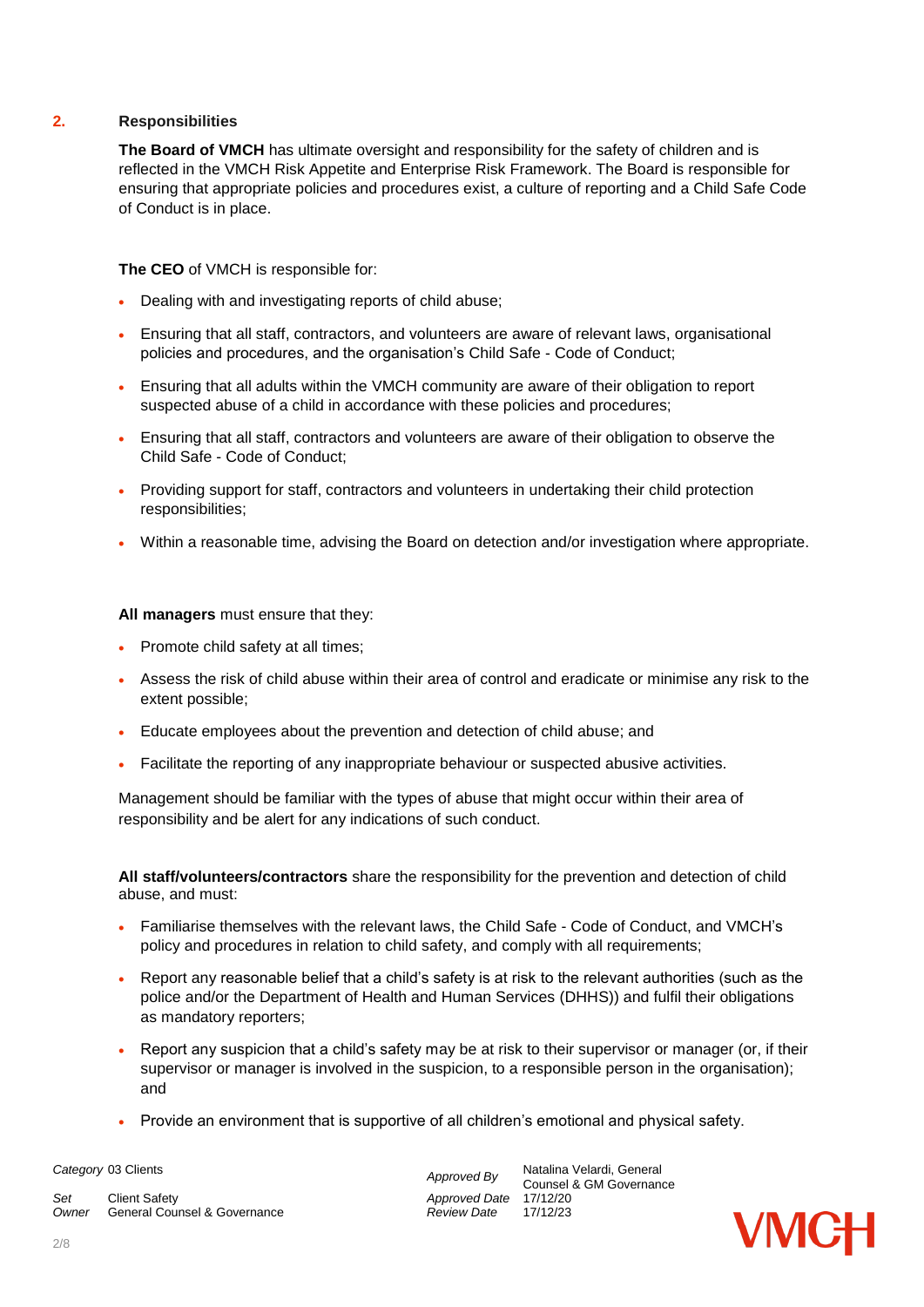#### **2. Responsibilities**

**The Board of VMCH** has ultimate oversight and responsibility for the safety of children and is reflected in the VMCH Risk Appetite and Enterprise Risk Framework. The Board is responsible for ensuring that appropriate policies and procedures exist, a culture of reporting and a Child Safe Code of Conduct is in place.

**The CEO** of VMCH is responsible for:

- Dealing with and investigating reports of child abuse;
- Ensuring that all staff, contractors, and volunteers are aware of relevant laws, organisational policies and procedures, and the organisation's Child Safe - Code of Conduct;
- Ensuring that all adults within the VMCH community are aware of their obligation to report suspected abuse of a child in accordance with these policies and procedures;
- Ensuring that all staff, contractors and volunteers are aware of their obligation to observe the Child Safe - Code of Conduct;
- Providing support for staff, contractors and volunteers in undertaking their child protection responsibilities;
- Within a reasonable time, advising the Board on detection and/or investigation where appropriate.

**All managers** must ensure that they:

- Promote child safety at all times;
- Assess the risk of child abuse within their area of control and eradicate or minimise any risk to the extent possible;
- Educate employees about the prevention and detection of child abuse; and
- Facilitate the reporting of any inappropriate behaviour or suspected abusive activities.

Management should be familiar with the types of abuse that might occur within their area of responsibility and be alert for any indications of such conduct.

**All staff/volunteers/contractors** share the responsibility for the prevention and detection of child abuse, and must:

- Familiarise themselves with the relevant laws, the Child Safe Code of Conduct, and VMCH's policy and procedures in relation to child safety, and comply with all requirements;
- Report any reasonable belief that a child's safety is at risk to the relevant authorities (such as the police and/or the Department of Health and Human Services (DHHS)) and fulfil their obligations as mandatory reporters;
- Report any suspicion that a child's safety may be at risk to their supervisor or manager (or, if their supervisor or manager is involved in the suspicion, to a responsible person in the organisation); and
- Provide an environment that is supportive of all children's emotional and physical safety.

*Set* Client Safety *Approved Date* 17/12/20 *Owner* General Counsel & Governance *Review Date* 17/12/23

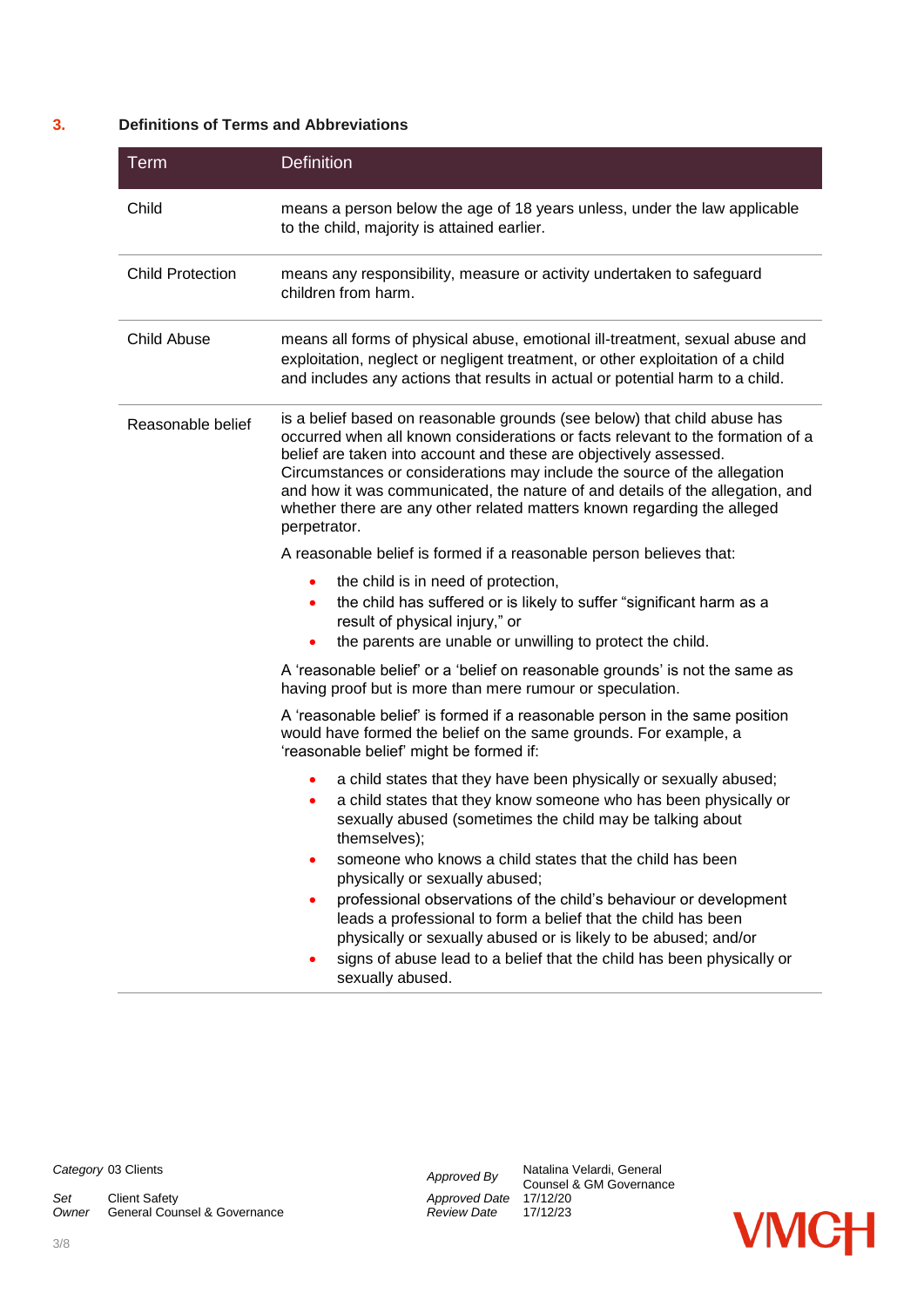#### **3. Definitions of Terms and Abbreviations**

| <b>Term</b>             | <b>Definition</b>                                                                                                                                                                                                                                                                                                                                                                                                                                                                       |
|-------------------------|-----------------------------------------------------------------------------------------------------------------------------------------------------------------------------------------------------------------------------------------------------------------------------------------------------------------------------------------------------------------------------------------------------------------------------------------------------------------------------------------|
| Child                   | means a person below the age of 18 years unless, under the law applicable<br>to the child, majority is attained earlier.                                                                                                                                                                                                                                                                                                                                                                |
| <b>Child Protection</b> | means any responsibility, measure or activity undertaken to safeguard<br>children from harm.                                                                                                                                                                                                                                                                                                                                                                                            |
| <b>Child Abuse</b>      | means all forms of physical abuse, emotional ill-treatment, sexual abuse and<br>exploitation, neglect or negligent treatment, or other exploitation of a child<br>and includes any actions that results in actual or potential harm to a child.                                                                                                                                                                                                                                         |
| Reasonable belief       | is a belief based on reasonable grounds (see below) that child abuse has<br>occurred when all known considerations or facts relevant to the formation of a<br>belief are taken into account and these are objectively assessed.<br>Circumstances or considerations may include the source of the allegation<br>and how it was communicated, the nature of and details of the allegation, and<br>whether there are any other related matters known regarding the alleged<br>perpetrator. |
|                         | A reasonable belief is formed if a reasonable person believes that:                                                                                                                                                                                                                                                                                                                                                                                                                     |
|                         | the child is in need of protection,<br>٠<br>the child has suffered or is likely to suffer "significant harm as a<br>$\bullet$<br>result of physical injury," or<br>the parents are unable or unwilling to protect the child.                                                                                                                                                                                                                                                            |
|                         | A 'reasonable belief' or a 'belief on reasonable grounds' is not the same as<br>having proof but is more than mere rumour or speculation.                                                                                                                                                                                                                                                                                                                                               |
|                         | A 'reasonable belief' is formed if a reasonable person in the same position<br>would have formed the belief on the same grounds. For example, a<br>'reasonable belief' might be formed if:                                                                                                                                                                                                                                                                                              |
|                         | a child states that they have been physically or sexually abused;<br>a child states that they know someone who has been physically or<br>٠<br>sexually abused (sometimes the child may be talking about<br>themselves);                                                                                                                                                                                                                                                                 |
|                         | someone who knows a child states that the child has been<br>physically or sexually abused;<br>professional observations of the child's behaviour or development<br>٠<br>leads a professional to form a belief that the child has been<br>physically or sexually abused or is likely to be abused; and/or<br>signs of abuse lead to a belief that the child has been physically or<br>sexually abused.                                                                                   |

*Set* Client Safety<br> *Owner* General Counsel & Governance<br> *Approved Date* 17/12/20<br> *Review Date* 17/12/23 **General Counsel & Governance** 

*Category* 03 Clients *Approved By* Natalina Velardi, General Counsel & GM Governance

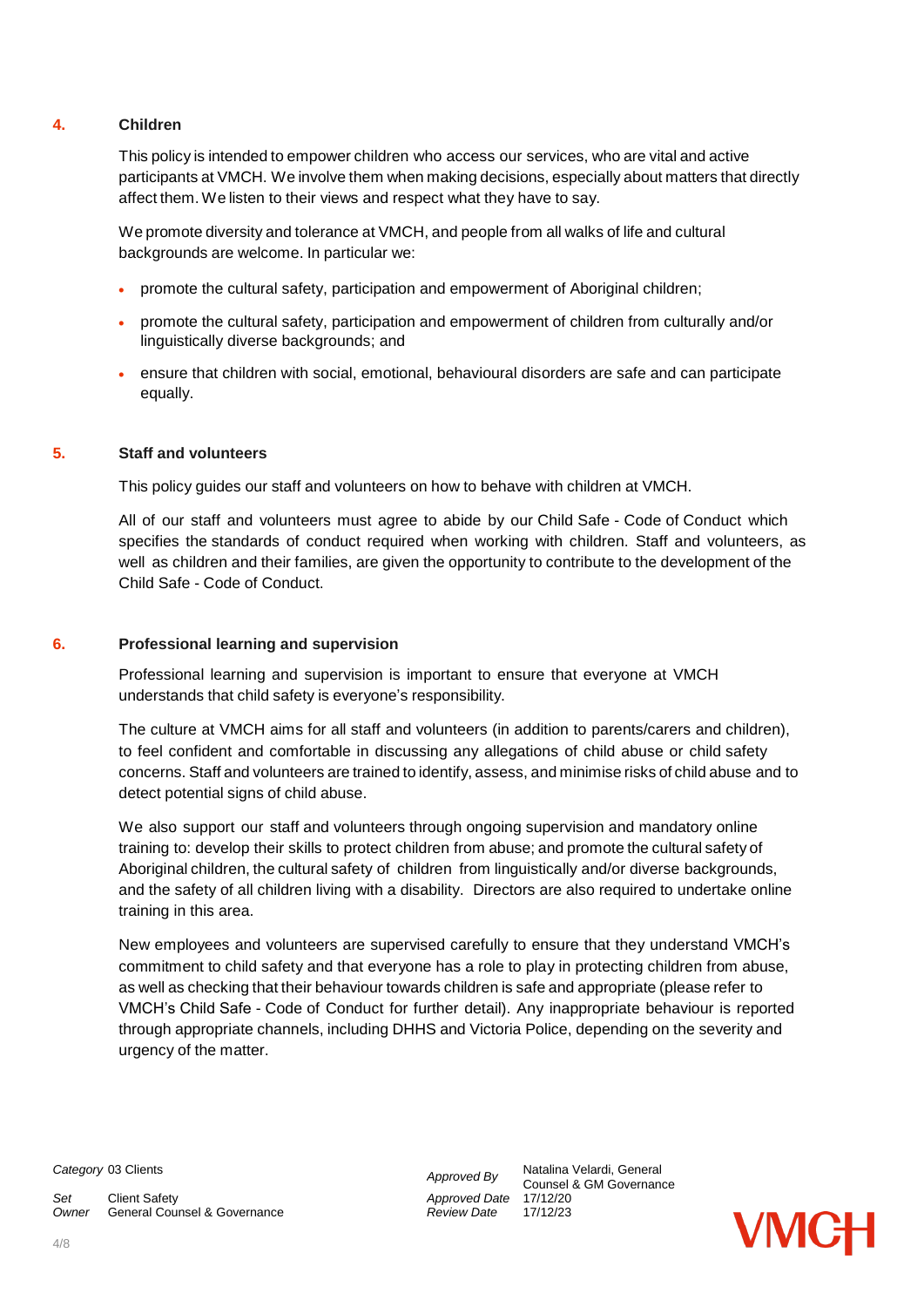#### **4. Children**

This policy is intended to empower children who access our services, who are vital and active participants at VMCH. We involve them when making decisions, especially about matters that directly affect them.We listen to their views and respect what they have to say.

We promote diversity and tolerance at VMCH, and people from all walks of life and cultural backgrounds are welcome. In particular we:

- promote the cultural safety, participation and empowerment of Aboriginal children;
- promote the cultural safety, participation and empowerment of children from culturally and/or linguistically diverse backgrounds; and
- ensure that children with social, emotional, behavioural disorders are safe and can participate equally.

#### **5. Staff and volunteers**

This policy guides our staff and volunteers on how to behave with children at VMCH.

All of our staff and volunteers must agree to abide by our Child Safe - Code of Conduct which specifies the standards of conduct required when working with children. Staff and volunteers, as well as children and their families, are given the opportunity to contribute to the development of the Child Safe - Code of Conduct.

#### **6. Professional learning and supervision**

Professional learning and supervision is important to ensure that everyone at VMCH understands that child safety is everyone's responsibility.

The culture at VMCH aims for all staff and volunteers (in addition to parents/carers and children), to feel confident and comfortable in discussing any allegations of child abuse or child safety concerns. Staff and volunteers are trained to identify, assess, and minimise risks of child abuse and to detect potential signs of child abuse.

We also support our staff and volunteers through ongoing supervision and mandatory online training to: develop their skills to protect children from abuse; and promote the cultural safety of Aboriginal children, the cultural safety of children from linguistically and/or diverse backgrounds, and the safety of all children living with a disability. Directors are also required to undertake online training in this area.

New employees and volunteers are supervised carefully to ensure that they understand VMCH's commitment to child safety and that everyone has a role to play in protecting children from abuse, as well as checking that their behaviour towards children is safe and appropriate (please refer to VMCH's Child Safe - Code of Conduct for further detail). Any inappropriate behaviour is reported through appropriate channels, including DHHS and Victoria Police, depending on the severity and urgency of the matter.

*Set* Client Safety *Approved Date* 17/12/20 **Owner** General Counsel & Governance

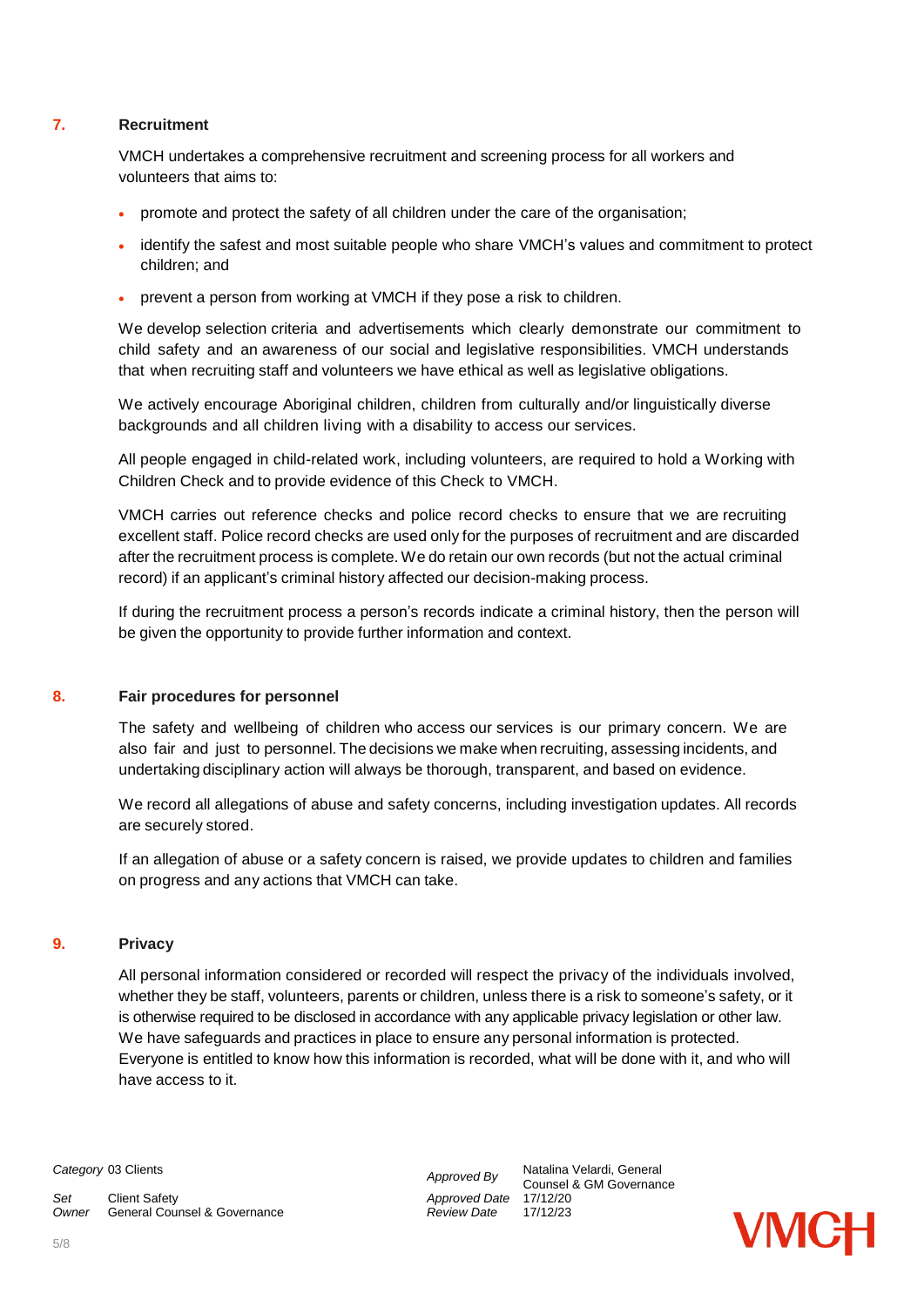#### **7. Recruitment**

VMCH undertakes a comprehensive recruitment and screening process for all workers and volunteers that aims to:

- promote and protect the safety of all children under the care of the organisation;
- identify the safest and most suitable people who share VMCH's values and commitment to protect children; and
- prevent a person from working at VMCH if they pose a risk to children.

We develop selection criteria and advertisements which clearly demonstrate our commitment to child safety and an awareness of our social and legislative responsibilities. VMCH understands that when recruiting staff and volunteers we have ethical as well as legislative obligations.

We actively encourage Aboriginal children, children from culturally and/or linguistically diverse backgrounds and all children living with a disability to access our services.

All people engaged in child-related work, including volunteers, are required to hold a Working with Children Check and to provide evidence of this Check to VMCH.

VMCH carries out reference checks and police record checks to ensure that we are recruiting excellent staff. Police record checks are used only for the purposes of recruitment and are discarded after the recruitment process is complete. We do retain our own records (but not the actual criminal record) if an applicant's criminal history affected our decision-making process.

If during the recruitment process a person's records indicate a criminal history, then the person will be given the opportunity to provide further information and context.

#### **8. Fair procedures for personnel**

The safety and wellbeing of children who access our services is our primary concern. We are also fair and just to personnel. The decisions we make when recruiting, assessing incidents, and undertaking disciplinary action will always be thorough, transparent, and based on evidence.

We record all allegations of abuse and safety concerns, including investigation updates. All records are securely stored.

If an allegation of abuse or a safety concern is raised, we provide updates to children and families on progress and any actions that VMCH can take.

#### **9. Privacy**

All personal information considered or recorded will respect the privacy of the individuals involved, whether they be staff, volunteers, parents or children, unless there is a risk to someone's safety, or it is otherwise required to be disclosed in accordance with any applicable privacy legislation or other law. We have safeguards and practices in place to ensure any personal information is protected. Everyone is entitled to know how this information is recorded, what will be done with it, and who will have access to it.

**Category** 03 Clients *Category* 03 Clients *Approved By* **Adding Velardi, General** 

*Set* Client Safety *Approved Date* 17/12/20 *Owner* General Counsel & Governance *Review Date* 17/12/23

Counsel & GM Governance

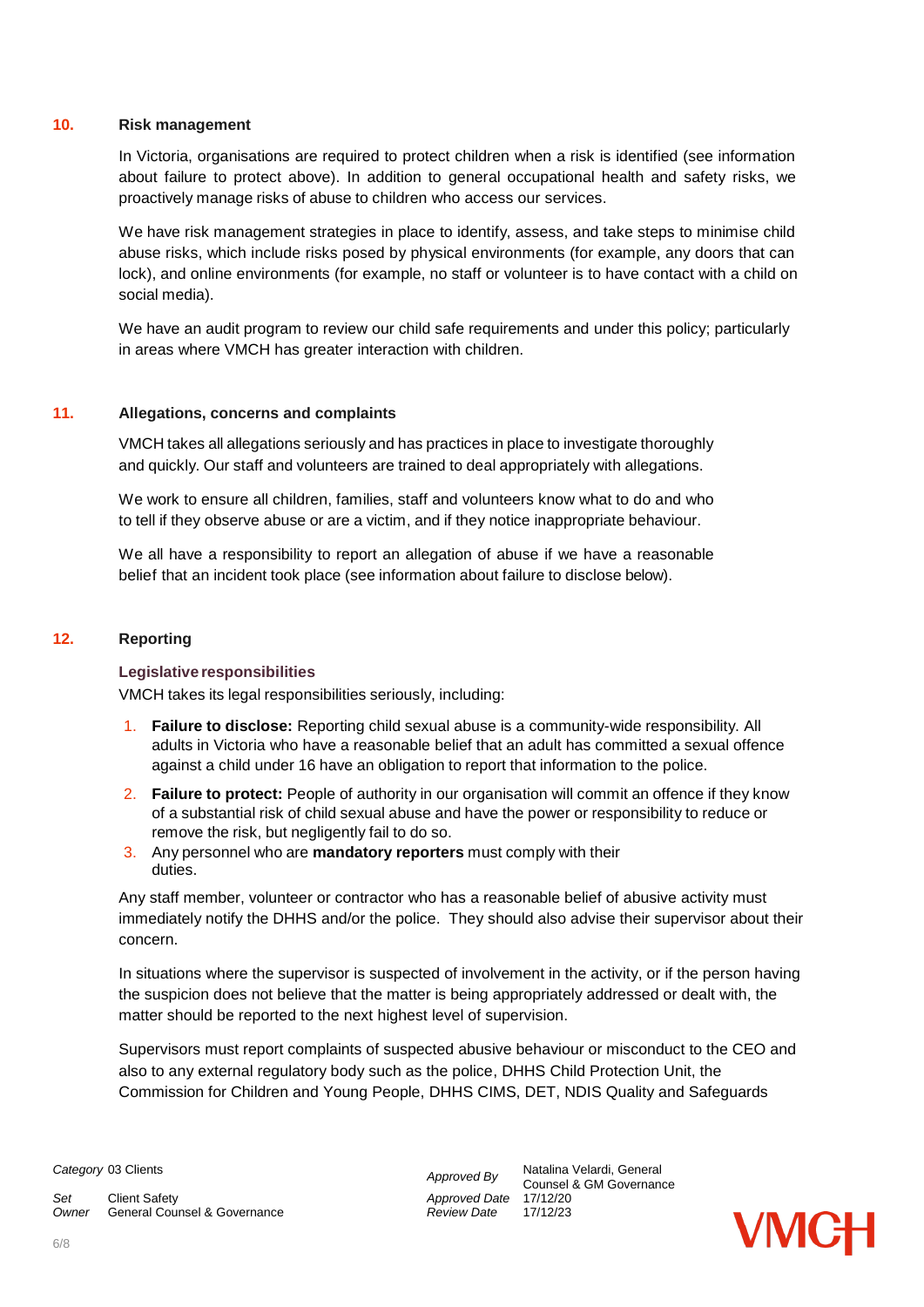#### **10. Risk management**

In Victoria, organisations are required to protect children when a risk is identified (see information about failure to protect above). In addition to general occupational health and safety risks, we proactively manage risks of abuse to children who access our services.

We have risk management strategies in place to identify, assess, and take steps to minimise child abuse risks, which include risks posed by physical environments (for example, any doors that can lock), and online environments (for example, no staff or volunteer is to have contact with a child on social media).

We have an audit program to review our child safe requirements and under this policy; particularly in areas where VMCH has greater interaction with children.

#### **11. Allegations, concerns and complaints**

VMCH takes all allegations seriously and has practices in place to investigate thoroughly and quickly. Our staff and volunteers are trained to deal appropriately with allegations.

We work to ensure all children, families, staff and volunteers know what to do and who to tell if they observe abuse or are a victim, and if they notice inappropriate behaviour.

We all have a responsibility to report an allegation of abuse if we have a reasonable belief that an incident took place (see information about failure to disclose below).

#### **12. Reporting**

#### **Legislative responsibilities**

VMCH takes its legal responsibilities seriously, including:

- 1. **Failure to disclose:** Reporting child sexual abuse is a community-wide responsibility. All adults in Victoria who have a reasonable belief that an adult has committed a sexual offence against a child under 16 have an obligation to report that information to the police.
- 2. **Failure to protect:** People of authority in our organisation will commit an offence if they know of a substantial risk of child sexual abuse and have the power or responsibility to reduce or remove the risk, but negligently fail to do so.
- 3. Any personnel who are **mandatory reporters** must comply with their duties.

Any staff member, volunteer or contractor who has a reasonable belief of abusive activity must immediately notify the DHHS and/or the police. They should also advise their supervisor about their concern.

In situations where the supervisor is suspected of involvement in the activity, or if the person having the suspicion does not believe that the matter is being appropriately addressed or dealt with, the matter should be reported to the next highest level of supervision.

Supervisors must report complaints of suspected abusive behaviour or misconduct to the CEO and also to any external regulatory body such as the police, DHHS Child Protection Unit, the Commission for Children and Young People, DHHS CIMS, DET, NDIS Quality and Safeguards

*Set* Client Safety *Approved Date* 17/12/20 **Owner** General Counsel & Governance

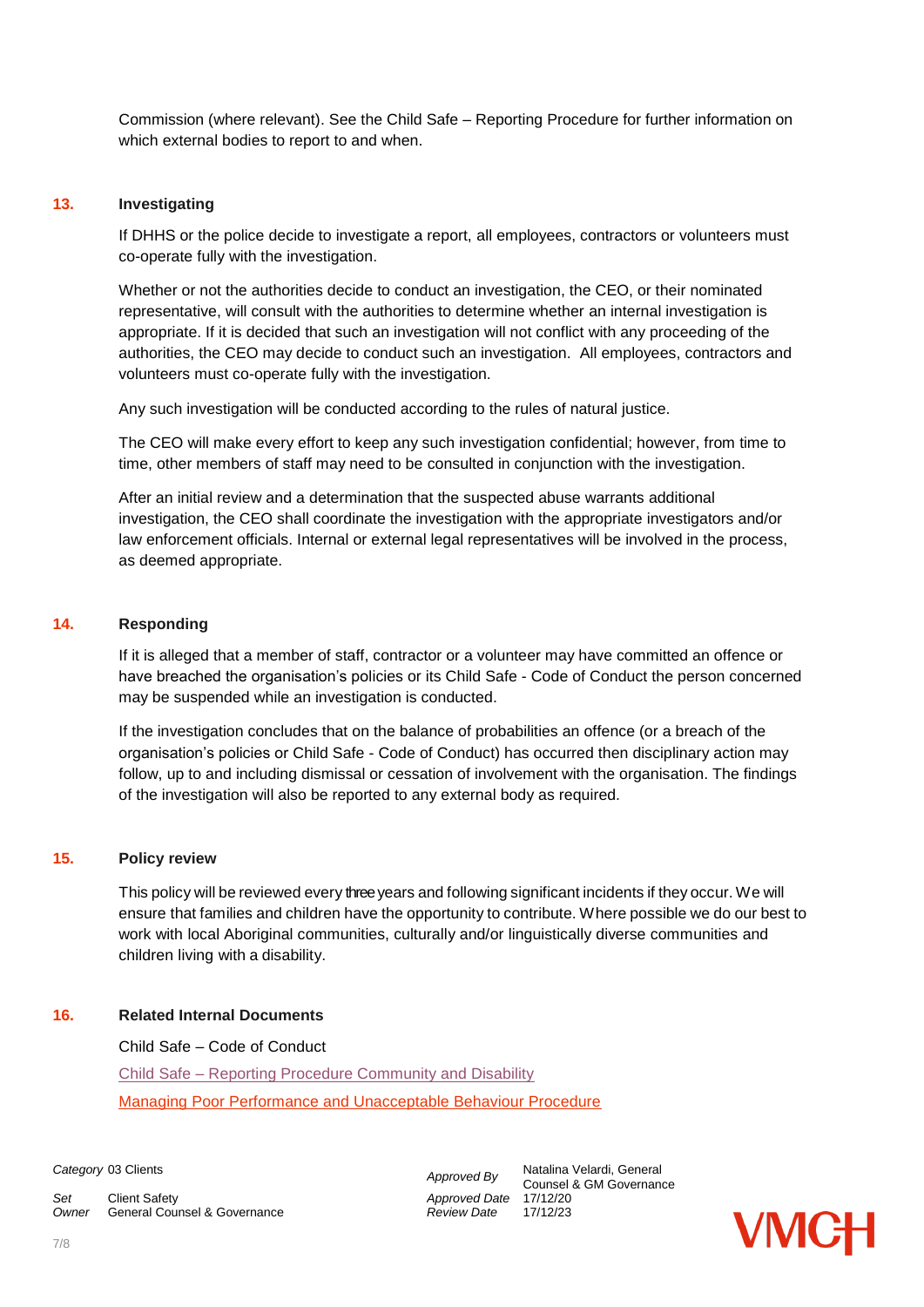Commission (where relevant). See the Child Safe – Reporting Procedure for further information on which external bodies to report to and when.

#### **13. Investigating**

If DHHS or the police decide to investigate a report, all employees, contractors or volunteers must co-operate fully with the investigation.

Whether or not the authorities decide to conduct an investigation, the CEO, or their nominated representative, will consult with the authorities to determine whether an internal investigation is appropriate. If it is decided that such an investigation will not conflict with any proceeding of the authorities, the CEO may decide to conduct such an investigation. All employees, contractors and volunteers must co-operate fully with the investigation.

Any such investigation will be conducted according to the rules of natural justice.

The CEO will make every effort to keep any such investigation confidential; however, from time to time, other members of staff may need to be consulted in conjunction with the investigation.

After an initial review and a determination that the suspected abuse warrants additional investigation, the CEO shall coordinate the investigation with the appropriate investigators and/or law enforcement officials. Internal or external legal representatives will be involved in the process, as deemed appropriate.

#### **14. Responding**

If it is alleged that a member of staff, contractor or a volunteer may have committed an offence or have breached the organisation's policies or its Child Safe - Code of Conduct the person concerned may be suspended while an investigation is conducted.

If the investigation concludes that on the balance of probabilities an offence (or a breach of the organisation's policies or Child Safe - Code of Conduct) has occurred then disciplinary action may follow, up to and including dismissal or cessation of involvement with the organisation. The findings of the investigation will also be reported to any external body as required.

#### **15. Policy review**

This policy will be reviewed every three years and following significant incidents if they occur. We will ensure that families and children have the opportunity to contribute. Where possible we do our best to work with local Aboriginal communities, culturally and/or linguistically diverse communities and children living with a disability.

#### **16. Related Internal Documents**

Child Safe – Code of Conduct

Child Safe – [Reporting Procedure Community and Disability](https://vmch.sharepoint.com/sites/theHub/PMS/Procedures/Forms/AllItems.aspx?id=%2Fsites%2FtheHub%2FPMS%2FProcedures%2FChild%20Safe%20%2D%20Reporting%20Procedure%20%2D%20Community%20and%20Disavility%20Services%2Epdf&parent=%2Fsites%2FtheHub%2FPMS%2FProcedures) [Managing Poor Performance and Unacceptable Behaviour Procedure](https://vmch.sharepoint.com/sites/theHub/PMS/Procedures/Forms/AllItems.aspx?id=%2Fsites%2FtheHub%2FPMS%2FProcedures%2FManaging%20Poor%20Performance%20and%20Unacceptable%20Behaviour%20Procedure%2Epdf&parent=%2Fsites%2FtheHub%2FPMS%2FProcedures)

*Set* Client Safety *Approved Date* 17/12/20 *Owner* General Counsel & Governance *Review Date* 17/12/23